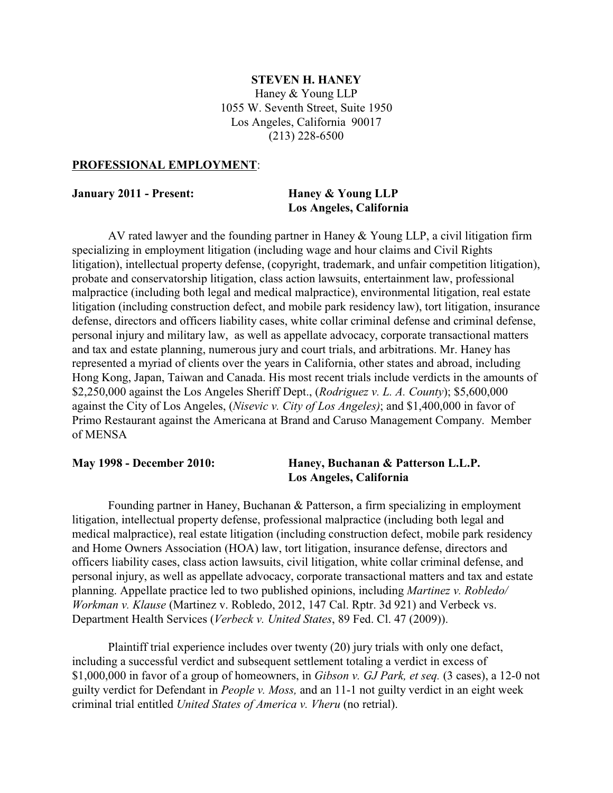#### **STEVEN H. HANEY**

Haney & Young LLP 1055 W. Seventh Street, Suite 1950 Los Angeles, California 90017 (213) 228-6500

#### **PROFESSIONAL EMPLOYMENT**:

#### **January 2011 - Present: Haney & Young LLP**

# **Los Angeles, California**

AV rated lawyer and the founding partner in Haney & Young LLP, a civil litigation firm specializing in employment litigation (including wage and hour claims and Civil Rights litigation), intellectual property defense, (copyright, trademark, and unfair competition litigation), probate and conservatorship litigation, class action lawsuits, entertainment law, professional malpractice (including both legal and medical malpractice), environmental litigation, real estate litigation (including construction defect, and mobile park residency law), tort litigation, insurance defense, directors and officers liability cases, white collar criminal defense and criminal defense, personal injury and military law, as well as appellate advocacy, corporate transactional matters and tax and estate planning, numerous jury and court trials, and arbitrations. Mr. Haney has represented a myriad of clients over the years in California, other states and abroad, including Hong Kong, Japan, Taiwan and Canada. His most recent trials include verdicts in the amounts of \$2,250,000 against the Los Angeles Sheriff Dept., (*Rodriguez v. L. A. County*); \$5,600,000 against the City of Los Angeles, (*Nisevic v. City of Los Angeles)*; and \$1,400,000 in favor of Primo Restaurant against the Americana at Brand and Caruso Management Company. Member of MENSA

### **May 1998 - December 2010: Haney, Buchanan & Patterson L.L.P. Los Angeles, California**

Founding partner in Haney, Buchanan & Patterson, a firm specializing in employment litigation, intellectual property defense, professional malpractice (including both legal and medical malpractice), real estate litigation (including construction defect, mobile park residency and Home Owners Association (HOA) law, tort litigation, insurance defense, directors and officers liability cases, class action lawsuits, civil litigation, white collar criminal defense, and personal injury, as well as appellate advocacy, corporate transactional matters and tax and estate planning. Appellate practice led to two published opinions, including *Martinez v. Robledo/ Workman v. Klause* (Martinez v. Robledo, 2012, 147 Cal. Rptr. 3d 921) and Verbeck vs. Department Health Services (*Verbeck v. United States*, 89 Fed. Cl. 47 (2009)).

Plaintiff trial experience includes over twenty (20) jury trials with only one defact, including a successful verdict and subsequent settlement totaling a verdict in excess of \$1,000,000 in favor of a group of homeowners, in *Gibson v. GJ Park, et seq.* (3 cases), a 12-0 not guilty verdict for Defendant in *People v. Moss,* and an 11-1 not guilty verdict in an eight week criminal trial entitled *United States of America v. Vheru* (no retrial).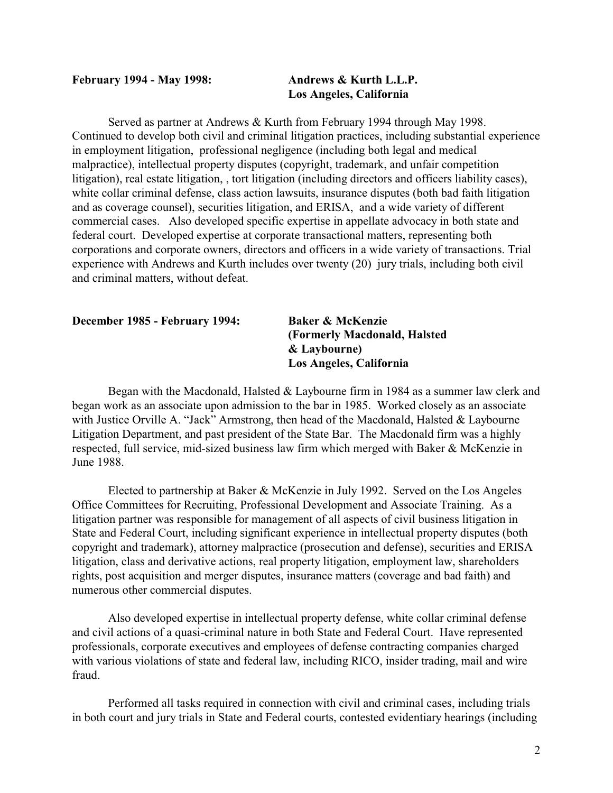## **February 1994 - May 1998: Andrews & Kurth L.L.P.**

# **Los Angeles, California**

Served as partner at Andrews & Kurth from February 1994 through May 1998. Continued to develop both civil and criminal litigation practices, including substantial experience in employment litigation, professional negligence (including both legal and medical malpractice), intellectual property disputes (copyright, trademark, and unfair competition litigation), real estate litigation, , tort litigation (including directors and officers liability cases), white collar criminal defense, class action lawsuits, insurance disputes (both bad faith litigation and as coverage counsel), securities litigation, and ERISA, and a wide variety of different commercial cases. Also developed specific expertise in appellate advocacy in both state and federal court. Developed expertise at corporate transactional matters, representing both corporations and corporate owners, directors and officers in a wide variety of transactions. Trial experience with Andrews and Kurth includes over twenty (20) jury trials, including both civil and criminal matters, without defeat.

#### **December 1985 - February 1994: Baker & McKenzie**

**(Formerly Macdonald, Halsted & Laybourne) Los Angeles, California**

Began with the Macdonald, Halsted & Laybourne firm in 1984 as a summer law clerk and began work as an associate upon admission to the bar in 1985. Worked closely as an associate with Justice Orville A. "Jack" Armstrong, then head of the Macdonald, Halsted & Laybourne Litigation Department, and past president of the State Bar. The Macdonald firm was a highly respected, full service, mid-sized business law firm which merged with Baker & McKenzie in June 1988.

Elected to partnership at Baker & McKenzie in July 1992. Served on the Los Angeles Office Committees for Recruiting, Professional Development and Associate Training. As a litigation partner was responsible for management of all aspects of civil business litigation in State and Federal Court, including significant experience in intellectual property disputes (both copyright and trademark), attorney malpractice (prosecution and defense), securities and ERISA litigation, class and derivative actions, real property litigation, employment law, shareholders rights, post acquisition and merger disputes, insurance matters (coverage and bad faith) and numerous other commercial disputes.

Also developed expertise in intellectual property defense, white collar criminal defense and civil actions of a quasi-criminal nature in both State and Federal Court. Have represented professionals, corporate executives and employees of defense contracting companies charged with various violations of state and federal law, including RICO, insider trading, mail and wire fraud.

Performed all tasks required in connection with civil and criminal cases, including trials in both court and jury trials in State and Federal courts, contested evidentiary hearings (including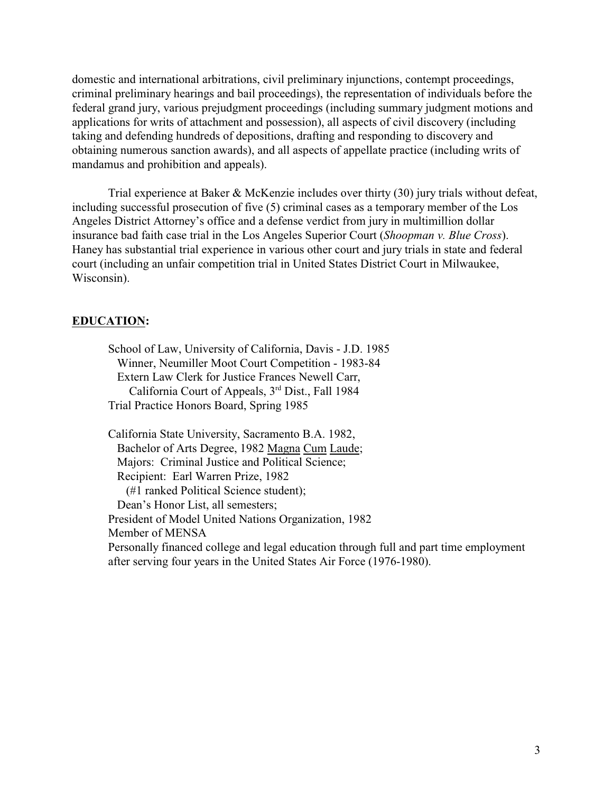domestic and international arbitrations, civil preliminary injunctions, contempt proceedings, criminal preliminary hearings and bail proceedings), the representation of individuals before the federal grand jury, various prejudgment proceedings (including summary judgment motions and applications for writs of attachment and possession), all aspects of civil discovery (including taking and defending hundreds of depositions, drafting and responding to discovery and obtaining numerous sanction awards), and all aspects of appellate practice (including writs of mandamus and prohibition and appeals).

Trial experience at Baker & McKenzie includes over thirty (30) jury trials without defeat, including successful prosecution of five (5) criminal cases as a temporary member of the Los Angeles District Attorney's office and a defense verdict from jury in multimillion dollar insurance bad faith case trial in the Los Angeles Superior Court (*Shoopman v. Blue Cross*). Haney has substantial trial experience in various other court and jury trials in state and federal court (including an unfair competition trial in United States District Court in Milwaukee, Wisconsin).

# **EDUCATION:**

School of Law, University of California, Davis - J.D. 1985 Winner, Neumiller Moot Court Competition - 1983-84 Extern Law Clerk for Justice Frances Newell Carr, California Court of Appeals,  $3<sup>rd</sup>$  Dist., Fall 1984 Trial Practice Honors Board, Spring 1985

California State University, Sacramento B.A. 1982, Bachelor of Arts Degree, 1982 Magna Cum Laude; Majors: Criminal Justice and Political Science; Recipient: Earl Warren Prize, 1982 (#1 ranked Political Science student); Dean's Honor List, all semesters; President of Model United Nations Organization, 1982 Member of MENSA Personally financed college and legal education through full and part time employment after serving four years in the United States Air Force (1976-1980).